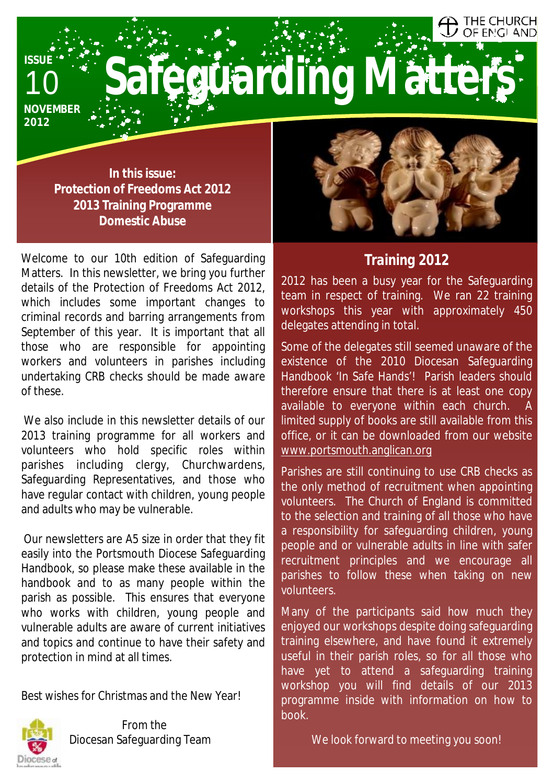# OF ENGLAND **Safeguarding Matters**

**NOVEMBER 2012** 

10

**ISSUE** 

**In this issue: Protection of Freedoms Act 2012 2013 Training Programme Domestic Abuse** 

Welcome to our 10th edition of Safeguarding Matters. In this newsletter, we bring you further details of the Protection of Freedoms Act 2012, which includes some important changes to criminal records and barring arrangements from September of this year. It is important that all those who are responsible for appointing workers and volunteers in parishes including undertaking CRB checks should be made aware of these.

We also include in this newsletter details of our 2013 training programme for all workers and volunteers who hold specific roles within parishes including clergy, Churchwardens, Safeguarding Representatives, and those who have regular contact with children, young people and adults who may be vulnerable.

Our newsletters are A5 size in order that they fit easily into the Portsmouth Diocese Safeguarding Handbook, so please make these available in the handbook and to as many people within the parish as possible. This ensures that everyone who works with children, young people and vulnerable adults are aware of current initiatives and topics and continue to have their safety and protection in mind at all times.

Best wishes for Christmas and the New Year!



From the Diocesan Safeguarding Team



THE CHURCH

### *Training 2012*

2012 has been a busy year for the Safeguarding team in respect of training. We ran 22 training workshops this year with approximately 450 delegates attending in total.

Some of the delegates still seemed unaware of the existence of the 2010 Diocesan Safeguarding Handbook 'In Safe Hands'! Parish leaders should therefore ensure that there is at least one copy available to everyone within each church. limited supply of books are still available from this office, or it can be downloaded from our website [www.portsmouth.anglican.org](http://www.portsmouth.anglican.org)

Parishes are still continuing to use CRB checks as the only method of recruitment when appointing volunteers. The Church of England is committed to the selection and training of all those who have a responsibility for safeguarding children, young people and or vulnerable adults in line with safer recruitment principles and we encourage all parishes to follow these when taking on new volunteers.

Many of the participants said how much they enjoyed our workshops despite doing safeguarding training elsewhere, and have found it extremely useful in their parish roles, so for all those who have yet to attend a safeguarding training workshop you will find details of our 2013 programme inside with information on how to book.

We look forward to meeting you soon!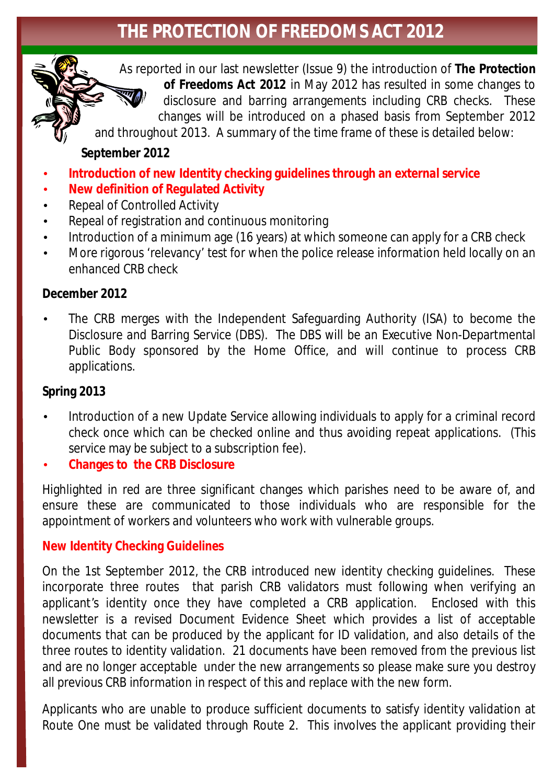## **THE PROTECTION OF FREEDOMS ACT 2012**

As reported in our last newsletter (Issue 9) the introduction of **The Protection of Freedoms Act 2012** in May 2012 has resulted in some changes to disclosure and barring arrangements including CRB checks. These changes will be introduced on a phased basis from September 2012

and throughout 2013. A summary of the time frame of these is detailed below:

#### **September 2012**

- **Introduction of new Identity checking guidelines through an external service**
- **New definition of Regulated Activity**
- Repeal of Controlled Activity
- Repeal of registration and continuous monitoring
- Introduction of a minimum age (16 years) at which someone can apply for a CRB check
- More rigorous 'relevancy' test for when the police release information held locally on an enhanced CRB check

#### **December 2012**

• The CRB merges with the Independent Safeguarding Authority (ISA) to become the Disclosure and Barring Service (DBS). The DBS will be an Executive Non-Departmental Public Body sponsored by the Home Office, and will continue to process CRB applications.

#### **Spring 2013**

- Introduction of a new Update Service allowing individuals to apply for a criminal record check once which can be checked online and thus avoiding repeat applications. (This service may be subject to a subscription fee).
- **Changes to the CRB Disclosure**

Highlighted in red are three significant changes which parishes need to be aware of, and ensure these are communicated to those individuals who are responsible for the appointment of workers and volunteers who work with vulnerable groups.

#### **New Identity Checking Guidelines**

On the 1st September 2012, the CRB introduced new identity checking guidelines. These incorporate three routes that parish CRB validators must following when verifying an applicant's identity once they have completed a CRB application. Enclosed with this newsletter is a revised Document Evidence Sheet which provides a list of acceptable documents that can be produced by the applicant for ID validation, and also details of the three routes to identity validation. 21 documents have been removed from the previous list and are no longer acceptable under the new arrangements so please make sure you destroy all previous CRB information in respect of this and replace with the new form.

Applicants who are unable to produce sufficient documents to satisfy identity validation at Route One must be validated through Route 2. This involves the applicant providing their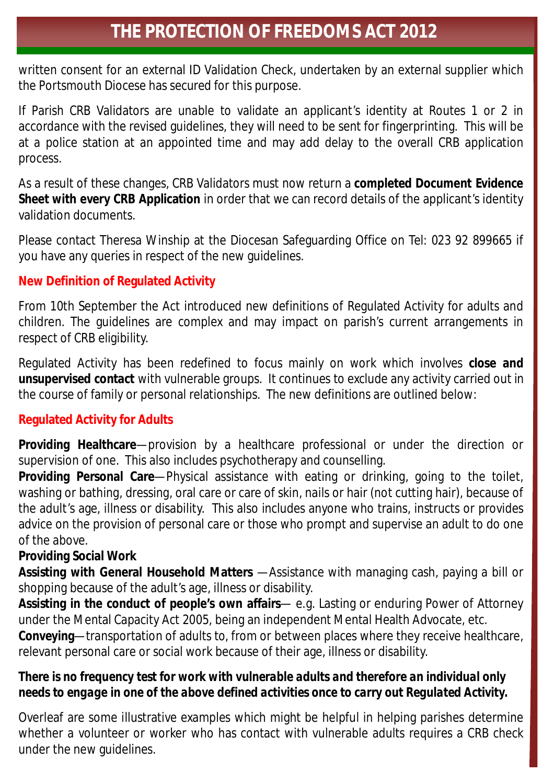written consent for an external ID Validation Check, undertaken by an external supplier which the Portsmouth Diocese has secured for this purpose.

If Parish CRB Validators are unable to validate an applicant's identity at Routes 1 or 2 in accordance with the revised guidelines, they will need to be sent for fingerprinting. This will be at a police station at an appointed time and may add delay to the overall CRB application process.

As a result of these changes, CRB Validators must now return a **completed Document Evidence Sheet with every CRB Application** in order that we can record details of the applicant's identity validation documents.

Please contact Theresa Winship at the Diocesan Safeguarding Office on Tel: 023 92 899665 if you have any queries in respect of the new guidelines.

#### **New Definition of Regulated Activity**

From 10th September the Act introduced new definitions of Regulated Activity for adults and children. The guidelines are complex and may impact on parish's current arrangements in respect of CRB eligibility.

Regulated Activity has been redefined to focus mainly on work which involves **close and unsupervised contact** with vulnerable groups. It continues to exclude any activity carried out in the course of family or personal relationships. The new definitions are outlined below:

#### **Regulated Activity for Adults**

**Providing Healthcare**—provision by a healthcare professional or under the direction or supervision of one. This also includes psychotherapy and counselling.

**Providing Personal Care**—Physical assistance with eating or drinking, going to the toilet, washing or bathing, dressing, oral care or care of skin, nails or hair (not cutting hair), because of the adult's age, illness or disability. This also includes anyone who trains, instructs or provides advice on the provision of personal care or those who prompt and supervise an adult to do one of the above.

#### **Providing Social Work**

**Assisting with General Household Matters** —Assistance with managing cash, paying a bill or shopping because of the adult's age, illness or disability.

**Assisting in the conduct of people's own affairs**— e.g. Lasting or enduring Power of Attorney under the Mental Capacity Act 2005, being an independent Mental Health Advocate, etc.

**Conveying**—transportation of adults to, from or between places where they receive healthcare, relevant personal care or social work because of their age, illness or disability.

#### *There is no frequency test for work with vulnerable adults and therefore an individual only needs to engage in one of the above defined activities once to carry out Regulated Activity.*

Overleaf are some illustrative examples which might be helpful in helping parishes determine whether a volunteer or worker who has contact with vulnerable adults requires a CRB check under the new guidelines.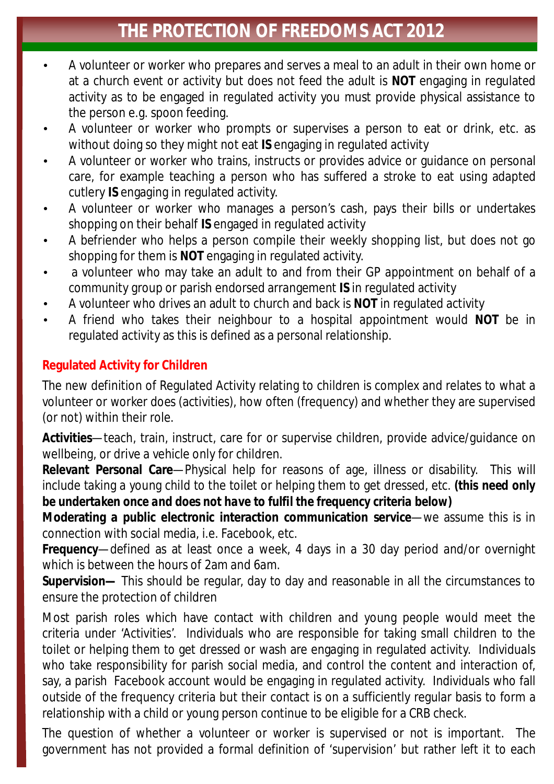## **THE PROTECTION OF FREEDOMS ACT 2012**

- A volunteer or worker who prepares and serves a meal to an adult in their own home or at a church event or activity but does not feed the adult is **NOT** engaging in regulated activity as to be engaged in regulated activity you must provide physical assistance to the person e.g. spoon feeding.
- A volunteer or worker who prompts or supervises a person to eat or drink, etc. as without doing so they might not eat **IS** engaging in regulated activity
- A volunteer or worker who trains, instructs or provides advice or guidance on personal care, for example teaching a person who has suffered a stroke to eat using adapted cutlery **IS** engaging in regulated activity.
- A volunteer or worker who manages a person's cash, pays their bills or undertakes shopping on their behalf **IS** engaged in regulated activity
- A befriender who helps a person compile their weekly shopping list, but does not go shopping for them is **NOT** engaging in regulated activity.
- a volunteer who may take an adult to and from their GP appointment on behalf of a community group or parish endorsed arrangement **IS** in regulated activity
- A volunteer who drives an adult to church and back is **NOT** in regulated activity
- A friend who takes their neighbour to a hospital appointment would **NOT** be in regulated activity as this is defined as a personal relationship.

#### **Regulated Activity for Children**

The new definition of Regulated Activity relating to children is complex and relates to what a volunteer or worker does (activities), how often (frequency) and whether they are supervised (or not) within their role.

**Activities**—teach, train, instruct, care for or supervise children, provide advice/guidance on wellbeing, or drive a vehicle only for children.

**Relevant Personal Care**—Physical help for reasons of age, illness or disability. This will include taking a young child to the toilet or helping them to get dressed, etc. *(this need only be undertaken once and does not have to fulfil the frequency criteria below)* 

**Moderating a public electronic interaction communication service**—we assume this is in connection with social media, i.e. Facebook, etc.

**Frequency**—defined as at least once a week, 4 days in a 30 day period and/or overnight which is between the hours of 2am and 6am.

**Supervision—** This should be regular, day to day and reasonable in all the circumstances to ensure the protection of children

Most parish roles which have contact with children and young people would meet the criteria under 'Activities'. Individuals who are responsible for taking small children to the toilet or helping them to get dressed or wash are engaging in regulated activity. Individuals who take responsibility for parish social media, and control the content and interaction of, say, a parish Facebook account would be engaging in regulated activity. Individuals who fall outside of the frequency criteria but their contact is on a sufficiently regular basis to form a relationship with a child or young person continue to be eligible for a CRB check.

The question of whether a volunteer or worker is supervised or not is important. The government has not provided a formal definition of 'supervision' but rather left it to each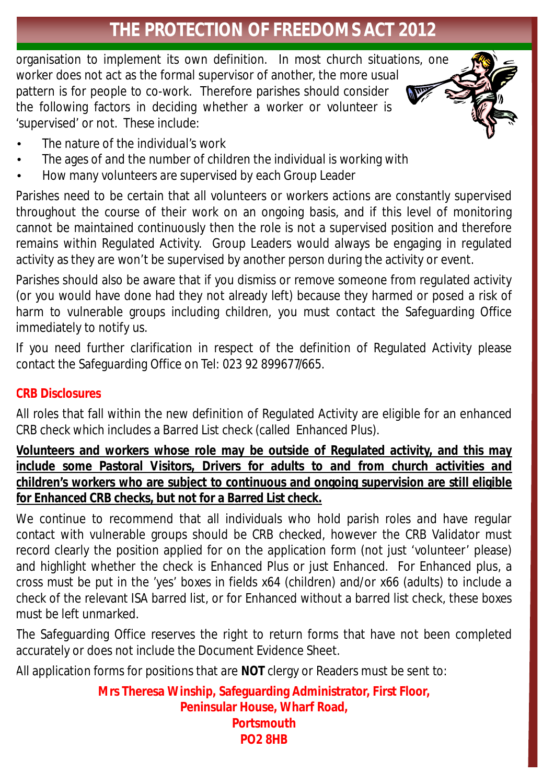## **THE PROTECTION OF FREEDOMS ACT 2012**

organisation to implement its own definition. In most church situations, one worker does not act as the formal supervisor of another, the more usual pattern is for people to co-work. Therefore parishes should consider the following factors in deciding whether a worker or volunteer is 'supervised' or not. These include:

- The nature of the individual's work
- The ages of and the number of children the individual is working with
- How many volunteers are supervised by each Group Leader

Parishes need to be certain that all volunteers or workers actions are constantly supervised throughout the course of their work on an ongoing basis, and if this level of monitoring cannot be maintained continuously then the role is not a supervised position and therefore remains within Regulated Activity. Group Leaders would always be engaging in regulated activity as they are won't be supervised by another person during the activity or event.

Parishes should also be aware that if you dismiss or remove someone from regulated activity (or you would have done had they not already left) because they harmed or posed a risk of harm to vulnerable groups including children, you must contact the Safeguarding Office immediately to notify us.

If you need further clarification in respect of the definition of Regulated Activity please contact the Safeguarding Office on Tel: 023 92 899677/665.

#### **CRB Disclosures**

All roles that fall within the new definition of Regulated Activity are eligible for an enhanced CRB check which includes a Barred List check (called Enhanced Plus).

**Volunteers and workers whose role may be outside of Regulated activity, and this may include some Pastoral Visitors, Drivers for adults to and from church activities and children's workers who are subject to continuous and ongoing supervision are still eligible for Enhanced CRB checks, but not for a Barred List check.** 

We continue to recommend that all individuals who hold parish roles and have regular contact with vulnerable groups should be CRB checked, however the CRB Validator must record clearly the position applied for on the application form (not just 'volunteer' please) and highlight whether the check is Enhanced Plus or just Enhanced. For Enhanced plus, a cross must be put in the 'yes' boxes in fields x64 (children) and/or x66 (adults) to include a check of the relevant ISA barred list, or for Enhanced without a barred list check, these boxes must be left unmarked.

The Safeguarding Office reserves the right to return forms that have not been completed accurately or does not include the Document Evidence Sheet.

All application forms for positions that are **NOT** clergy or Readers must be sent to:

**Mrs Theresa Winship, Safeguarding Administrator, First Floor, Peninsular House, Wharf Road, Portsmouth PO2 8HB**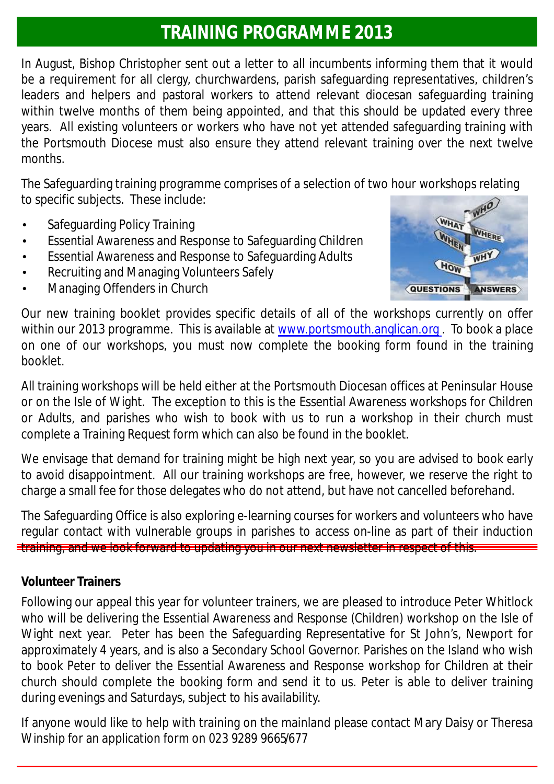## **TRAINING PROGRAMME 2013**

In August, Bishop Christopher sent out a letter to all incumbents informing them that it would be a requirement for all clergy, churchwardens, parish safeguarding representatives, children's leaders and helpers and pastoral workers to attend relevant diocesan safeguarding training within twelve months of them being appointed, and that this should be updated every three years. All existing volunteers or workers who have not yet attended safeguarding training with the Portsmouth Diocese must also ensure they attend relevant training over the next twelve months.

The Safeguarding training programme comprises of a selection of two hour workshops relating to specific subjects. These include:

- Safeguarding Policy Training
- Essential Awareness and Response to Safeguarding Children
- Essential Awareness and Response to Safeguarding Adults
- Recruiting and Managing Volunteers Safely
- Managing Offenders in Church



Our new training booklet provides specific details of all of the workshops currently on offer within our 2013 programme. This is available at [www.portsmouth.anglican.org](http://www.portsmouth.anglican.org). To book a place on one of our workshops, you must now complete the booking form found in the training booklet.

All training workshops will be held either at the Portsmouth Diocesan offices at Peninsular House or on the Isle of Wight. The exception to this is the Essential Awareness workshops for Children or Adults, and parishes who wish to book with us to run a workshop in their church must complete a Training Request form which can also be found in the booklet.

We envisage that demand for training might be high next year, so you are advised to book early to avoid disappointment. All our training workshops are free, however, we reserve the right to charge a small fee for those delegates who do not attend, but have not cancelled beforehand.

The Safeguarding Office is also exploring e-learning courses for workers and volunteers who have regular contact with vulnerable groups in parishes to access on-line as part of their induction training, and we look forward to updating you in our next newsletter in respect of this.

#### **Volunteer Trainers**

Following our appeal this year for volunteer trainers, we are pleased to introduce Peter Whitlock who will be delivering the Essential Awareness and Response (Children) workshop on the Isle of Wight next year. Peter has been the Safeguarding Representative for St John's, Newport for approximately 4 years, and is also a Secondary School Governor. Parishes on the Island who wish to book Peter to deliver the Essential Awareness and Response workshop for Children at their church should complete the booking form and send it to us. Peter is able to deliver training during evenings and Saturdays, subject to his availability.

If anyone would like to help with training on the mainland please contact Mary Daisy or Theresa Winship for an application form on 023 9289 9665/677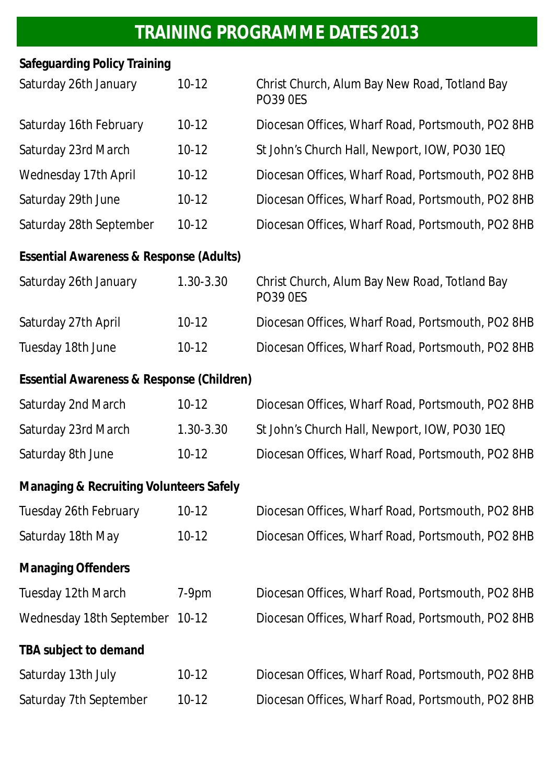## **TRAINING PROGRAMME DATES 2013**

| <b>Safeguarding Policy Training</b>                |           |                                                                  |
|----------------------------------------------------|-----------|------------------------------------------------------------------|
| Saturday 26th January                              | $10-12$   | Christ Church, Alum Bay New Road, Totland Bay<br><b>PO39 0ES</b> |
| Saturday 16th February                             | $10-12$   | Diocesan Offices, Wharf Road, Portsmouth, PO2 8HB                |
| <b>Saturday 23rd March</b>                         | $10-12$   | St John's Church Hall, Newport, IOW, PO30 1EQ                    |
| <b>Wednesday 17th April</b>                        | $10-12$   | Diocesan Offices, Wharf Road, Portsmouth, PO2 8HB                |
| Saturday 29th June                                 | $10-12$   | Diocesan Offices, Wharf Road, Portsmouth, PO2 8HB                |
| Saturday 28th September                            | $10-12$   | Diocesan Offices, Wharf Road, Portsmouth, PO2 8HB                |
| Essential Awareness & Response (Adults)            |           |                                                                  |
| Saturday 26th January                              | 1.30-3.30 | Christ Church, Alum Bay New Road, Totland Bay<br><b>PO39 0ES</b> |
| Saturday 27th April                                | $10-12$   | Diocesan Offices, Wharf Road, Portsmouth, PO2 8HB                |
| Tuesday 18th June                                  | $10-12$   | Diocesan Offices, Wharf Road, Portsmouth, PO2 8HB                |
| Essential Awareness & Response (Children)          |           |                                                                  |
| <b>Saturday 2nd March</b>                          | $10-12$   | Diocesan Offices, Wharf Road, Portsmouth, PO2 8HB                |
| Saturday 23rd March                                | 1.30-3.30 | St John's Church Hall, Newport, IOW, PO30 1EQ                    |
| Saturday 8th June                                  | $10-12$   | Diocesan Offices, Wharf Road, Portsmouth, PO2 8HB                |
| <b>Managing &amp; Recruiting Volunteers Safely</b> |           |                                                                  |
| <b>Tuesday 26th February</b>                       | $10-12$   | Diocesan Offices, Wharf Road, Portsmouth, PO2 8HB                |
| Saturday 18th May                                  | $10-12$   | Diocesan Offices, Wharf Road, Portsmouth, PO2 8HB                |
| <b>Managing Offenders</b>                          |           |                                                                  |
| Tuesday 12th March                                 | $7-9pm$   | Diocesan Offices, Wharf Road, Portsmouth, PO2 8HB                |
| Wednesday 18th September 10-12                     |           | Diocesan Offices, Wharf Road, Portsmouth, PO2 8HB                |
| TBA subject to demand                              |           |                                                                  |
| Saturday 13th July                                 | $10-12$   | Diocesan Offices, Wharf Road, Portsmouth, PO2 8HB                |
| Saturday 7th September                             | $10-12$   | Diocesan Offices, Wharf Road, Portsmouth, PO2 8HB                |